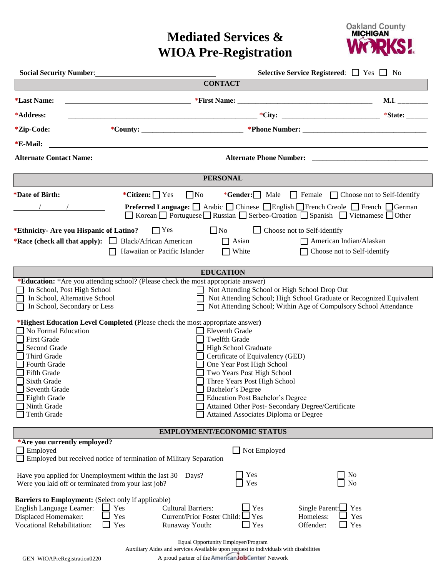## **Mediated Services & WIOA Pre-Registration**



| Social Security Number: 1986 1997                                                                                                                                                                                                                                                                                                                                                                                                                                                |                                                                                           |                                                                                   |                                                                                                                                                                                                                                                                                                                                                                                                         | Selective Service Registered: $\Box$ Yes $\Box$ No |                                                                                                                                                                                                             |  |
|----------------------------------------------------------------------------------------------------------------------------------------------------------------------------------------------------------------------------------------------------------------------------------------------------------------------------------------------------------------------------------------------------------------------------------------------------------------------------------|-------------------------------------------------------------------------------------------|-----------------------------------------------------------------------------------|---------------------------------------------------------------------------------------------------------------------------------------------------------------------------------------------------------------------------------------------------------------------------------------------------------------------------------------------------------------------------------------------------------|----------------------------------------------------|-------------------------------------------------------------------------------------------------------------------------------------------------------------------------------------------------------------|--|
|                                                                                                                                                                                                                                                                                                                                                                                                                                                                                  |                                                                                           | <b>CONTACT</b>                                                                    |                                                                                                                                                                                                                                                                                                                                                                                                         |                                                    |                                                                                                                                                                                                             |  |
| <i><b>*Last Name:</b></i>                                                                                                                                                                                                                                                                                                                                                                                                                                                        | <u> 1989 - Johann Barnett, fransk politiker (d. 1989)</u>                                 |                                                                                   |                                                                                                                                                                                                                                                                                                                                                                                                         |                                                    | $M.I.$ <sub>----------</sub>                                                                                                                                                                                |  |
| *Address:                                                                                                                                                                                                                                                                                                                                                                                                                                                                        |                                                                                           |                                                                                   |                                                                                                                                                                                                                                                                                                                                                                                                         |                                                    |                                                                                                                                                                                                             |  |
| <i>*Zip-Code:</i>                                                                                                                                                                                                                                                                                                                                                                                                                                                                |                                                                                           |                                                                                   |                                                                                                                                                                                                                                                                                                                                                                                                         |                                                    |                                                                                                                                                                                                             |  |
| *E-Mail:                                                                                                                                                                                                                                                                                                                                                                                                                                                                         |                                                                                           |                                                                                   |                                                                                                                                                                                                                                                                                                                                                                                                         |                                                    |                                                                                                                                                                                                             |  |
| <b>Alternate Contact Name:</b>                                                                                                                                                                                                                                                                                                                                                                                                                                                   | <b>Example 2018</b> Alternate Phone Number: <b>Contract 2018</b> 2019 2019 2021 2022 2023 |                                                                                   |                                                                                                                                                                                                                                                                                                                                                                                                         |                                                    |                                                                                                                                                                                                             |  |
| <b>PERSONAL</b>                                                                                                                                                                                                                                                                                                                                                                                                                                                                  |                                                                                           |                                                                                   |                                                                                                                                                                                                                                                                                                                                                                                                         |                                                    |                                                                                                                                                                                                             |  |
| *Date of Birth:                                                                                                                                                                                                                                                                                                                                                                                                                                                                  | *Citizen: $\Box$ Yes                                                                      | $\Box$ No                                                                         |                                                                                                                                                                                                                                                                                                                                                                                                         |                                                    | *Gender: $\Box$ Male $\Box$ Female $\Box$ Choose not to Self-Identify                                                                                                                                       |  |
|                                                                                                                                                                                                                                                                                                                                                                                                                                                                                  |                                                                                           |                                                                                   |                                                                                                                                                                                                                                                                                                                                                                                                         |                                                    | <b>Preferred Language:</b> $\Box$ Arabic $\Box$ Chinese $\Box$ English $\Box$ French Creole $\Box$ French $\Box$ German<br>□ Korean □ Portuguese □ Russian □ Serbeo-Croation □ Spanish □ Vietnamese □ Other |  |
| *Ethnicity- Are you Hispanic of Latino?                                                                                                                                                                                                                                                                                                                                                                                                                                          | $\Box$ Yes                                                                                | $\Box$ No                                                                         |                                                                                                                                                                                                                                                                                                                                                                                                         | $\Box$ Choose not to Self-identify                 |                                                                                                                                                                                                             |  |
| *Race (check all that apply): $\Box$ Black/African American                                                                                                                                                                                                                                                                                                                                                                                                                      |                                                                                           |                                                                                   | $\Box$ Asian                                                                                                                                                                                                                                                                                                                                                                                            | $\Box$ American Indian/Alaskan                     |                                                                                                                                                                                                             |  |
|                                                                                                                                                                                                                                                                                                                                                                                                                                                                                  | Hawaiian or Pacific Islander                                                              |                                                                                   | White                                                                                                                                                                                                                                                                                                                                                                                                   |                                                    | Choose not to Self-identify                                                                                                                                                                                 |  |
| <b>EDUCATION</b>                                                                                                                                                                                                                                                                                                                                                                                                                                                                 |                                                                                           |                                                                                   |                                                                                                                                                                                                                                                                                                                                                                                                         |                                                    |                                                                                                                                                                                                             |  |
| *Education: *Are you attending school? (Please check the most appropriate answer)<br>In School, Post High School<br>In School, Alternative School<br>In School, Secondary or Less<br>*Highest Education Level Completed (Please check the most appropriate answer)<br>$\Box$ No Formal Education<br><b>First Grade</b><br>Second Grade<br>Third Grade<br>Fourth Grade<br><b>Fifth Grade</b><br>Sixth Grade<br>Seventh Grade<br>Eighth Grade<br>Ninth Grade<br><b>Tenth Grade</b> |                                                                                           | $\mathsf{L}$<br><b>Eleventh Grade</b>                                             | Not Attending School or High School Drop Out<br><b>Twelfth Grade</b><br><b>High School Graduate</b><br>Certificate of Equivalency (GED)<br>One Year Post High School<br>Two Years Post High School<br>Three Years Post High School<br>Bachelor's Degree<br><b>Education Post Bachelor's Degree</b><br>Attained Other Post- Secondary Degree/Certificate<br><b>Attained Associates Diploma or Degree</b> |                                                    | Not Attending School; High School Graduate or Recognized Equivalent<br>Not Attending School; Within Age of Compulsory School Attendance                                                                     |  |
| <b>EMPLOYMENT/ECONOMIC STATUS</b>                                                                                                                                                                                                                                                                                                                                                                                                                                                |                                                                                           |                                                                                   |                                                                                                                                                                                                                                                                                                                                                                                                         |                                                    |                                                                                                                                                                                                             |  |
| *Are you currently employed?<br>$\Box$ Employed<br>Employed but received notice of termination of Military Separation                                                                                                                                                                                                                                                                                                                                                            |                                                                                           |                                                                                   | $\Box$ Not Employed                                                                                                                                                                                                                                                                                                                                                                                     |                                                    |                                                                                                                                                                                                             |  |
| Yes<br>No<br>Have you applied for Unemployment within the last $30 -$ Days?<br>Yes<br>No<br>Were you laid off or terminated from your last job?                                                                                                                                                                                                                                                                                                                                  |                                                                                           |                                                                                   |                                                                                                                                                                                                                                                                                                                                                                                                         |                                                    |                                                                                                                                                                                                             |  |
| Barriers to Employment: (Select only if applicable)<br>English Language Learner:<br>Displaced Homemaker:<br>Vocational Rehabilitation:                                                                                                                                                                                                                                                                                                                                           | Yes<br>Yes<br>Yes                                                                         | <b>Cultural Barriers:</b><br>Current/Prior Foster Child: $\Box$<br>Runaway Youth: | Yes<br>Yes<br>$\Box$ Yes                                                                                                                                                                                                                                                                                                                                                                                | Single Parent: $\Box$<br>Homeless:<br>Offender:    | Yes<br>Yes<br>Yes                                                                                                                                                                                           |  |

Equal Opportunity Employer/Program Auxiliary Aides and services Available upon request to individuals with disabilities

GEN\_WIOAPreRegistration0220 A proud partner of the American JobCenter' Network